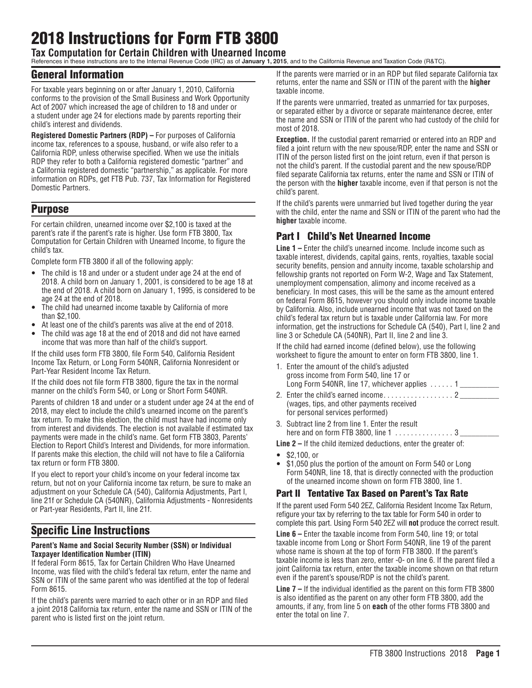# 2018 Instructions for Form FTB 3800

**Tax Computation for Certain Children with Unearned Income**

References in these instructions are to the Internal Revenue Code (IRC) as of **January 1, 2015**, and to the California Revenue and Taxation Code (R&TC).

#### General Information

For taxable years beginning on or after January 1, 2010, California conforms to the provision of the Small Business and Work Opportunity Act of 2007 which increased the age of children to 18 and under or a student under age 24 for elections made by parents reporting their child's interest and dividends.

**Registered Domestic Partners (RDP) –** For purposes of California income tax, references to a spouse, husband, or wife also refer to a California RDP, unless otherwise specified. When we use the initials RDP they refer to both a California registered domestic "partner" and a California registered domestic "partnership," as applicable. For more information on RDPs, get FTB Pub. 737, Tax Information for Registered Domestic Partners.

### Purpose

For certain children, unearned income over \$2,100 is taxed at the parent's rate if the parent's rate is higher. Use form FTB 3800, Tax Computation for Certain Children with Unearned Income, to figure the child's tax.

Complete form FTB 3800 if all of the following apply:

- The child is 18 and under or a student under age 24 at the end of 2018. A child born on January 1, 2001, is considered to be age 18 at the end of 2018. A child born on January 1, 1995, is considered to be age 24 at the end of 2018.
- The child had unearned income taxable by California of more than \$2,100.
- At least one of the child's parents was alive at the end of 2018.
- The child was age 18 at the end of 2018 and did not have earned income that was more than half of the child's support.

If the child uses form FTB 3800, file Form 540, California Resident Income Tax Return, or Long Form 540NR, California Nonresident or Part-Year Resident Income Tax Return.

If the child does not file form FTB 3800, figure the tax in the normal manner on the child's Form 540, or Long or Short Form 540NR.

Parents of children 18 and under or a student under age 24 at the end of 2018, may elect to include the child's unearned income on the parent's tax return. To make this election, the child must have had income only from interest and dividends. The election is not available if estimated tax payments were made in the child's name. Get form FTB 3803, Parents' Election to Report Child's Interest and Dividends, for more information. If parents make this election, the child will not have to file a California tax return or form FTB 3800.

If you elect to report your child's income on your federal income tax return, but not on your California income tax return, be sure to make an adjustment on your Schedule CA (540), California Adjustments, Part I, line 21f or Schedule CA (540NR), California Adjustments - Nonresidents or Part-year Residents, Part II, line 21f.

## Specific Line Instructions

#### **Parent's Name and Social Security Number (SSN) or Individual Taxpayer Identification Number (ITIN)**

If federal Form 8615, Tax for Certain Children Who Have Unearned Income, was filed with the child's federal tax return, enter the name and SSN or ITIN of the same parent who was identified at the top of federal Form 8615.

If the child's parents were married to each other or in an RDP and filed a joint 2018 California tax return, enter the name and SSN or ITIN of the parent who is listed first on the joint return.

If the parents were married or in an RDP but filed separate California tax returns, enter the name and SSN or ITIN of the parent with the **higher**  taxable income.

If the parents were unmarried, treated as unmarried for tax purposes, or separated either by a divorce or separate maintenance decree, enter the name and SSN or ITIN of the parent who had custody of the child for most of 2018.

**Exception.** If the custodial parent remarried or entered into an RDP and filed a joint return with the new spouse/RDP, enter the name and SSN or ITIN of the person listed first on the joint return, even if that person is not the child's parent. If the custodial parent and the new spouse/RDP filed separate California tax returns, enter the name and SSN or ITIN of the person with the **higher** taxable income, even if that person is not the child's parent.

If the child's parents were unmarried but lived together during the year with the child, enter the name and SSN or ITIN of the parent who had the **higher** taxable income.

## Part I Child's Net Unearned Income

**Line 1 –** Enter the child's unearned income. Include income such as taxable interest, dividends, capital gains, rents, royalties, taxable social security benefits, pension and annuity income, taxable scholarship and fellowship grants not reported on Form W-2, Wage and Tax Statement, unemployment compensation, alimony and income received as a beneficiary. In most cases, this will be the same as the amount entered on federal Form 8615, however you should only include income taxable by California. Also, include unearned income that was not taxed on the child's federal tax return but is taxable under California law. For more information, get the instructions for Schedule CA (540), Part I, line 2 and line 3 or Schedule CA (540NR), Part II, line 2 and line 3.

If the child had earned income (defined below), use the following worksheet to figure the amount to enter on form FTB 3800, line 1.

- 1. Enter the amount of the child's adjusted gross income from Form 540, line 17 or Long Form 540NR, line 17, whichever applies  $\dots$ ... 1 2. Enter the child's earned income . . 2 \_\_\_\_\_\_\_\_\_\_
- (wages, tips, and other payments received for personal services performed)
- 3. Subtract line 2 from line 1. Enter the result here and on form FTB 3800, line 1 . . 3 \_\_\_\_\_\_\_\_\_\_
- **Line 2** If the child itemized deductions, enter the greater of:
- $\frac{$2,100,0r}{1,050,0}$
- \$1,050 plus the portion of the amount on Form 540 or Long Form 540NR, line 18, that is directly connected with the production of the unearned income shown on form FTB 3800, line 1.

#### Part II Tentative Tax Based on Parent's Tax Rate

If the parent used Form 540 2EZ, California Resident Income Tax Return, refigure your tax by referring to the tax table for Form 540 in order to complete this part. Using Form 540 2EZ will **not** produce the correct result.

**Line 6 –** Enter the taxable income from Form 540, line 19; or total taxable income from Long or Short Form 540NR, line 19 of the parent whose name is shown at the top of form FTB 3800. If the parent's taxable income is less than zero, enter -0- on line 6. If the parent filed a joint California tax return, enter the taxable income shown on that return even if the parent's spouse/RDP is not the child's parent.

**Line 7 –** If the individual identified as the parent on this form FTB 3800 is also identified as the parent on any other form FTB 3800, add the amounts, if any, from line 5 on **each** of the other forms FTB 3800 and enter the total on line 7.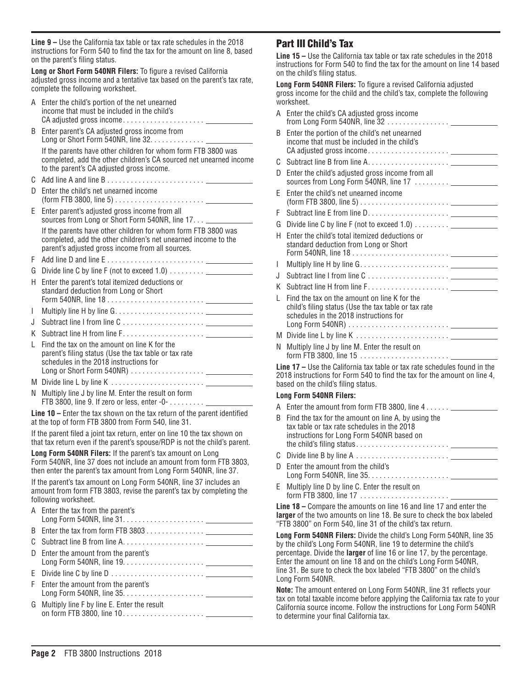**Line 9 –** Use the California tax table or tax rate schedules in the 2018 instructions for Form 540 to find the tax for the amount on line 8, based on the parent's filing status.

**Long or Short Form 540NR Filers:** To figure a revised California adjusted gross income and a tentative tax based on the parent's tax rate, complete the following worksheet.

- A Enter the child's portion of the net unearned income that must be included in the child's CA adjusted gross income........................ B Enter parent's CA adjusted gross income from Long or Short Form 540NR, line 32. . . . . . . . . . . . . . If the parents have other children for whom form FTB 3800 was completed, add the other children's CA sourced net unearned income to the parent's CA adjusted gross income. C Add line A and line B . . D Enter the child's net unearned income (form FTB 3800, line 5) . . E Enter parent's adjusted gross income from all sources from Long or Short Form 540NR, line 17. . . . If the parents have other children for whom form FTB 3800 was completed, add the other children's net unearned income to the parent's adjusted gross income from all sources. F Add line D and line E . . G Divide line C by line F (not to exceed 1.0) . . . . . . . . . \_\_\_\_\_\_\_ H Enter the parent's total itemized deductions or standard deduction from Long or Short Form 540NR, line 18 . . I Multiply line H by line G . . J Subtract line I from line C . . K Subtract line H from line F . . L Find the tax on the amount on line K for the parent's filing status (Use the tax table or tax rate schedules in the 2018 instructions for Long or Short Form 540NR) . . M Divide line L by line K . .
- N Multiply line J by line M. Enter the result on form FTB 3800, line 9. If zero or less, enter  $-0$ - $\dots$ .....

**Line 10 –** Enter the tax shown on the tax return of the parent identified at the top of form FTB 3800 from Form 540, line 31.

If the parent filed a joint tax return, enter on line 10 the tax shown on that tax return even if the parent's spouse/RDP is not the child's parent.

**Long Form 540NR Filers:** If the parent's tax amount on Long Form 540NR, line 37 does not include an amount from form FTB 3803, then enter the parent's tax amount from Long Form 540NR, line 37.

If the parent's tax amount on Long Form 540NR, line 37 includes an amount from form FTB 3803, revise the parent's tax by completing the following worksheet.  $\Lambda$  Enter the tax from

| A Enter the tax from the parent's                                                         |  |
|-------------------------------------------------------------------------------------------|--|
|                                                                                           |  |
|                                                                                           |  |
| D Enter the amount from the parent's                                                      |  |
| E Divide line C by line D $\ldots$ . $\ldots$ . $\ldots$ . $\ldots$ . $\ldots$ . $\ldots$ |  |
| F Enter the amount from the parent's                                                      |  |
| G Multiply line F by line E. Enter the result                                             |  |
|                                                                                           |  |

#### Part III Child's Tax

**Line 15 –** Use the California tax table or tax rate schedules in the 2018 instructions for Form 540 to find the tax for the amount on line 14 based on the child's filing status.

**Long Form 540NR Filers:** To figure a revised California adjusted gross income for the child and the child's tax, complete the following worksheet.

| A Enter the child's CA adjusted gross income                                                                                                   |
|------------------------------------------------------------------------------------------------------------------------------------------------|
| Enter the portion of the child's net unearned<br>income that must be included in the child's                                                   |
|                                                                                                                                                |
| Enter the child's adjusted gross income from all                                                                                               |
| Enter the child's net unearned income                                                                                                          |
|                                                                                                                                                |
|                                                                                                                                                |
| Enter the child's total itemized deductions or<br>standard deduction from Long or Short                                                        |
|                                                                                                                                                |
|                                                                                                                                                |
|                                                                                                                                                |
| Find the tax on the amount on line K for the<br>child's filing status (Use the tax table or tax rate<br>schedules in the 2018 instructions for |
|                                                                                                                                                |
| Multiply line J by line M. Enter the result on                                                                                                 |
|                                                                                                                                                |

**Line 17 –** Use the California tax table or tax rate schedules found in the 2018 instructions for Form 540 to find the tax for the amount on line 4, based on the child's filing status.

#### **Long Form 540NR Filers:**

- A Enter the amount from form FTB 3800, line  $4 \ldots \ldots$ B Find the tax for the amount on line A, by using the tax table or tax rate schedules in the 2018 instructions for Long Form 540NR based on the child's filing status . . C Divide line B by line A . .
- D Enter the amount from the child's Long Form 540NR, line 35 . .
- E Multiply line D by line C. Enter the result on form FTB 3800, line 17 . .

**Line 18 –** Compare the amounts on line 16 and line 17 and enter the **larger** of the two amounts on line 18. Be sure to check the box labeled "FTB 3800" on Form 540, line 31 of the child's tax return.

**Long Form 540NR Filers:** Divide the child's Long Form 540NR, line 35 by the child's Long Form 540NR, line 19 to determine the child's percentage. Divide the **larger** of line 16 or line 17, by the percentage. Enter the amount on line 18 and on the child's Long Form 540NR, line 31. Be sure to check the box labeled "FTB 3800" on the child's Long Form 540NR.

**Note:** The amount entered on Long Form 540NR, line 31 reflects your tax on total taxable income before applying the California tax rate to your California source income. Follow the instructions for Long Form 540NR to determine your final California tax.